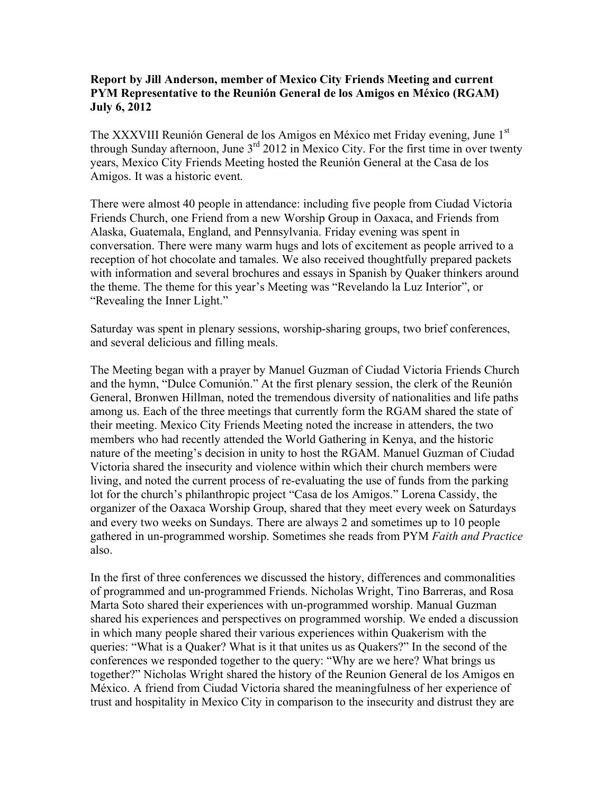## **Report by Jill Anderson, member of Mexico City Friends Meeting and current PYM Representative to the Reunión General de los Amigos en México (RGAM) July 6, 2012**

The XXXVIII Reunión General de los Amigos en México met Friday evening, June 1st through Sunday afternoon, June  $3<sup>rd</sup>$  2012 in Mexico City. For the first time in over twenty years, Mexico City Friends Meeting hosted the Reunión General at the Casa de los Amigos. It was a historic event.

There were almost 40 people in attendance: including five people from Ciudad Victoria Friends Church, one Friend from a new Worship Group in Oaxaca, and Friends from Alaska, Guatemala, England, and Pennsylvania. Friday evening was spent in conversation. There were many warm hugs and lots of excitement as people arrived to a reception of hot chocolate and tamales. We also received thoughtfully prepared packets with information and several brochures and essays in Spanish by Quaker thinkers around the theme. The theme for this year's Meeting was "Revelando la Luz Interior", or "Revealing the Inner Light."

Saturday was spent in plenary sessions, worship-sharing groups, two brief conferences, and several delicious and filling meals.

The Meeting began with a prayer by Manuel Guzman of Ciudad Victoria Friends Church and the hymn, "Dulce Comunión." At the first plenary session, the clerk of the Reunión General, Bronwen Hillman, noted the tremendous diversity of nationalities and life paths among us. Each of the three meetings that currently form the RGAM shared the state of their meeting. Mexico City Friends Meeting noted the increase in attenders, the two members who had recently attended the World Gathering in Kenya, and the historic nature of the meeting's decision in unity to host the RGAM. Manuel Guzman of Ciudad Victoria shared the insecurity and violence within which their church members were living, and noted the current process of re-evaluating the use of funds from the parking lot for the church's philanthropic project "Casa de los Amigos." Lorena Cassidy, the organizer of the Oaxaca Worship Group, shared that they meet every week on Saturdays and every two weeks on Sundays. There are always 2 and sometimes up to 10 people gathered in un-programmed worship. Sometimes she reads from PYM *Faith and Practice* also.

In the first of three conferences we discussed the history, differences and commonalities of programmed and un-programmed Friends. Nicholas Wright, Tino Barreras, and Rosa Marta Soto shared their experiences with un-programmed worship. Manual Guzman shared his experiences and perspectives on programmed worship. We ended a discussion in which many people shared their various experiences within Quakerism with the queries: "What is a Quaker? What is it that unites us as Quakers?" In the second of the conferences we responded together to the query: "Why are we here? What brings us together?" Nicholas Wright shared the history of the Reunion General de los Amigos en México. A friend from Ciudad Victoria shared the meaningfulness of her experience of trust and hospitality in Mexico City in comparison to the insecurity and distrust they are